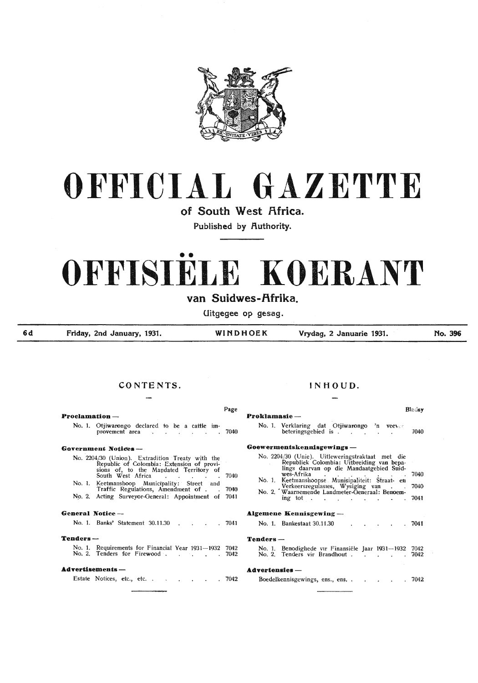

# **OFFICIAL GAZETTE**

**of South West Africa.** 

Published by **Authority**.

# •• **OFFISIELE KOERANT**

# van Suidwes-Afrika.

**Uitgegee op gesag.** 

**6d** 

**Friday, 2nd January, 1931. WINDHOEK Vrydag, 2 Januarie 1931.** 

**No. 396** 

# **CONTENTS.**

|                                                                                                                                                                                                                                                                                  | Page |  |  |  |  |  |  |
|----------------------------------------------------------------------------------------------------------------------------------------------------------------------------------------------------------------------------------------------------------------------------------|------|--|--|--|--|--|--|
| <b>Proclamation</b> —                                                                                                                                                                                                                                                            |      |  |  |  |  |  |  |
| No. 1. Otjiwarongo declared to be a cattle im-<br>provement area (b) contract the contract of the contract of the contract of the contract of the contract of the contract of the contract of the contract of the contract of the contract of the contract of the contract of th |      |  |  |  |  |  |  |
| Government Notices ---                                                                                                                                                                                                                                                           |      |  |  |  |  |  |  |
| No. 2204/30 (Union). Extradition Treaty with the<br>Republic of Colombia: Extension of provi-<br>sions of, to the Mandated Territory of<br>South West Africa (Contract of the CO40                                                                                               |      |  |  |  |  |  |  |
| No. 1. Keetmanshoop Municipality: Street and<br>Traffic Regulations, Amendment of . 7040                                                                                                                                                                                         |      |  |  |  |  |  |  |
| No. 2. Acting Surveyor-General: Appointment of 7041                                                                                                                                                                                                                              |      |  |  |  |  |  |  |
| General Notice —                                                                                                                                                                                                                                                                 |      |  |  |  |  |  |  |
| No. 1. Banks' Statement 30.11.30 7041                                                                                                                                                                                                                                            |      |  |  |  |  |  |  |
| Tenders —                                                                                                                                                                                                                                                                        |      |  |  |  |  |  |  |
| No. 1. Requirements for Financial Year 1931-1932 7042<br>No. 2. Tenders for Firewood                                                                                                                                                                                             | 7042 |  |  |  |  |  |  |
| Advertisements —                                                                                                                                                                                                                                                                 |      |  |  |  |  |  |  |
| Estate Notices, etc., etc. .<br>$\cdot$ $\cdot$ $\cdot$ $\cdot$ 7042                                                                                                                                                                                                             |      |  |  |  |  |  |  |

# **INHOUD.**

| Page                                                                                                                                                                                                                                                                                                                     | <b>Blacksy</b>                                                                                                                                                                                                                                                                                                                                    |  |
|--------------------------------------------------------------------------------------------------------------------------------------------------------------------------------------------------------------------------------------------------------------------------------------------------------------------------|---------------------------------------------------------------------------------------------------------------------------------------------------------------------------------------------------------------------------------------------------------------------------------------------------------------------------------------------------|--|
| $relamation -$                                                                                                                                                                                                                                                                                                           | Proklamasie —                                                                                                                                                                                                                                                                                                                                     |  |
| No. 1. Otjiwarongo declared to be a cattle im-<br>provement area (b) contract to the contract of the contract of the contract of the contract of the contract of the contract of the contract of the contract of the contract of the contract of the contract of the contract of                                         | No. 1. Verklaring dat Otjiwarongo 'n veever<br>betering specied is $\cdot$ .<br>7040                                                                                                                                                                                                                                                              |  |
| rernment Notices —                                                                                                                                                                                                                                                                                                       | Goewermentskennisgewings -                                                                                                                                                                                                                                                                                                                        |  |
| No. 2204/30 (Union). Extradition Treaty with the<br>Republic of Colombia: Extension of provi-<br>sions of, to the Mandated Territory of<br>South West Africa<br>7040<br>No. 1. Keetmanshoop Municipality: Street and<br>Traffic Regulations, Amendment of<br>7040<br>No. 2. Acting Surveyor-General: Appointment of 7041 | No. 2204/30 (Unie). Uitleweringstraktaat met die<br>Republiek Colombia: Uitbreiding van bepa-<br>lings daarvan op die Mandaatgebied Suid-<br>wes-Afrika<br>7040<br>No. 1. Keetmanshoopse Munisipaliteit: Straat- en<br>Verkeersregulasies, Wysiging van .<br>No. 2. Waarnemende Landmeter-Generaal: Benoem-<br>7040<br>$\frac{1}{2}$ ing tot 7041 |  |
| teral Notice —                                                                                                                                                                                                                                                                                                           | <b>Algemene Kennisgewing</b> —                                                                                                                                                                                                                                                                                                                    |  |
| No. 1. Banks' Statement 30.11.30 7041                                                                                                                                                                                                                                                                                    | No. 1. Bankestaat 30.11.30<br>.7041                                                                                                                                                                                                                                                                                                               |  |
| ıders —                                                                                                                                                                                                                                                                                                                  | $Tenders -$                                                                                                                                                                                                                                                                                                                                       |  |
| No. 1. Requirements for Financial Year 1931-1932 7042                                                                                                                                                                                                                                                                    | No. 1. Benodighede vir Finansiële Jaar 1931—1932 7042<br>No. 2. Tenders vir Brandhout 7042                                                                                                                                                                                                                                                        |  |
| rertisements —                                                                                                                                                                                                                                                                                                           | <b>Advertensies</b> -                                                                                                                                                                                                                                                                                                                             |  |
| Estate Notices, etc., etc.<br>.7042                                                                                                                                                                                                                                                                                      | Boedelkennisgewings, ens., ens<br>7042<br>$\cdot$<br>$\sim$                                                                                                                                                                                                                                                                                       |  |
|                                                                                                                                                                                                                                                                                                                          |                                                                                                                                                                                                                                                                                                                                                   |  |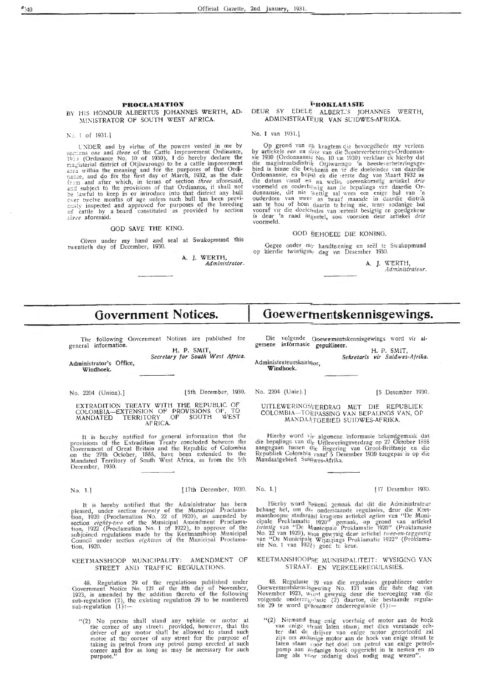# **PROCLA1'1A'l'ION**

# ~\l:S. ISTRATOR OF SOUTH WEST **AFRICA.**

No. 1 of 1931.]

UNDER and by virtue of the powers vested in me by sections *one* and *three* of the Cattle Improvement Ordinance, 1951 (Ordinance No. 10 of 1930), I do hereby declare the magisterial district of Otjiwarongo to be a cattle improvement  $2.75$ : within the meaning and for the purposes of that Ordinance, and do fix the first day of March, 1932, as the date from and after which, in terms of section *three* aforesaid, and subject to the provisions of that Ordinance, it shall not be lawful to keep in or introduce into that district any bull over twelve months of age unless such bull has been previ-<br>ously inspected and approved for purposes of the breeding onsity inspected and approved for purposes or the breeding three aforesaid.

# GOD SAVE THE KING.

Given under my hand and seal at Swakopmund this twentieth day of December, 1930.

A. J. WERTH, *Administrator.* 

# **i•nOKLAII.\.SIE**

# BY HIS HONOUR ALBERTUS JOHANNES WERTH, AD- DEUR SY EDELE ALBERTJS JOHANNES WERTH, ADMINISTRATEUR VAN SUIDWES-AFRIKA.

No. 1 van 1931.]

Op grond van e<sub>li</sub> kragtens die bevoegdhede my verleen by artickels *een* en *drie* van die 3eestevcrbeterings-Ordonnansie<br>sie 1930 (Ordonnansie No. 10 val 1930) verklaar ek hicrby dat die magistraatsdistrik Otjiwarengo 'n beesteverbeteringsgebied is binne die betekenis en ir die doeleindes van daardie Ordonnansie, en bepaal ek die erste dag van Maart 1932 as die datum vanaf en na welkt, coreenkomstig ar die datum vanaf en na welk, coreenkomstig artiekel *drie*<br>voormeld en onderhe<sub>wig</sub> aan iie bepalings van daardie Or-<br>donnansie, dit nie wettig sal wees om enige bul van 'n ouderdom van meer as twaart maande in daardie distrik<br>aan te hou of hom daarin te bring nie, tensy sodanige bul<br>vooraf vir die doelclindes van eeteelt besigtig en goedgekeur<br>is deur 'n raad ingestel, soos voorsien deur art

# GOD BEHOEDE DIE KONING.

Gegee onder my handteening en seël te Swakopmund op hierdie twintigste dag vin Desember 1930.

**A. J.** \-X' ERTH, *Administrateur.* 

# **Government Notices.**

The following Government Notices are published for general information.

H. P. SMIT, *Secretary for South* <sup>W</sup> est *Africa.* 

Administrator's Office, Windhoek.

EXTRADITION TREATY WITH THE REPUBLIC OF<br>COLOMBIA-EXTENSION OF PROVISIONS OF, TO MANDATED TERRITORY OF SOUTH WEST AFRICA.

It is hereby notified for general information that the provisions of the Extradition Treaty concluded between the<br>Government of Great Britain and the Republic of Colombia<br>on the 27th October, 1888, have been extended to the<br>Mandated Territory of South West Africa, as from the December, 1930.

No. 1.l [ 17th December, 1930.

It is hereby notified that the Administrator has been pleased, under section *twenty* of the Municipal Proclamation, 1920 (Proclamation No. 22 of 1920), as amended by section *eighty-two* of the Municipal Amendment Proclama-<br>tion; 1922 (Proclamation No. 1 of 1922), to approve of the subjoined regulations made by the Keetmanshoop Municipal Council under section *eighteen* of the Municipal Proclamation, 1920.

## KEETMANSHOOP MUNICIPALITY: AMENDMENT OF STREET AND TRAFFIC REQULATIONS.

48. Regulation 29 of the regulations published under<br>Government Notice No. 121 of the 8th day of November,<br>1923, is amended by the addition thereto of the following<br>sub-regulation (2), the existing regulation 29 to be numb  $sub-regularian (1) :=$ 

"(2) No person shall stand any vehicle or motor at the corner of any street: provided, however, that the<br>driver of any motor shall be allowed to stand such motor at the corner of any street for the purpose of taking in petrol from any petrol pump erected at such corner and for as long as may be necessary for such purpose."

# **Goewerruentskennisgewings.**

Die volgende Goewe:mentskennisgewings word vir al-gemene informasie gepubliseer. informasie gepubliseer. H. P. SMIT,

*Sekretaris vir Suidwes-Afrika.* 

Administrateurskantg<sub>or</sub>,<br>**Windhoek.** 

No. 2204 (Union).] **L5th December, 1930.** No. 2204 (Unie).] [5 Desember 1930.

UITLEWERINGSVERDRAO MET DIE REPUBLIE K COLOMBIA-TOEPASSING VAN BEPALINGS VAN, OP MANDAA\_TOEBlED SUIDWES-AFRlKA.

Hierby word vir algemene .informasie bekendgemaak dat die bepalings van die Uitleweringsverdrag op 27 Oktober 1888 aangegaan tussen die Regering van Groot-Brittanje en die Rcpubliek Colombia vanaf 5 Desember 1930 toegepas is op die Mandaatgebied Suidwes-Afrika.

## No. l.] { 17 Dcsember 1930,

Hicrby word hekend zemaak dat dit die Administrateur bchaag het, om die onderstaande regulasies, deur die Keet-<br>manshoopse stadsraad krageens artiekel *aglien* van "De Muni-<br>cipale Proklamatie 1920" gemaak, op grond van artiekel twintig van "De Municipate Proklamatie 1920" (Proklamasie No. 22 van 1920), stos gewysig deur artickel *twee-en-taggentig* van "De Municipale Wijzigings Proklamatic 1922" (Proklama-<br>sie No. 1 van 1922) goec tc keur.

## KEETMANSHOOPSE MUNISIPALITEIT: WYSIGING VAN STRAAT: EN VERKEERREOULASIES.

48. Regulasie *<sup>29</sup> van die regulasies gepubliseer onder* Goewermentskennisgewing No. 121 van die 8ste dag van November 1923, word gewysig deur die toevoeging van die volgende onderregulasie (2) daartoe, die bestaande regula- sie 29 te word gefionimer onderregulasie (1) :-

"(2) Niemand hag enig voertuig of motor aan de hoek van enige straat laten staan; met dien verstande echter dat de drijver van enige motor geoorloofd zal<br>zijn om zodanige motor aan de hock van enige straat te laten staan roor het doel om petrol van enige petrol-<br>pomp aan  $\epsilon_{0}$ danige hoek opgericht in te nemen en zo lang als  $v_{0}$ er zodanig doel nodig mag wezen".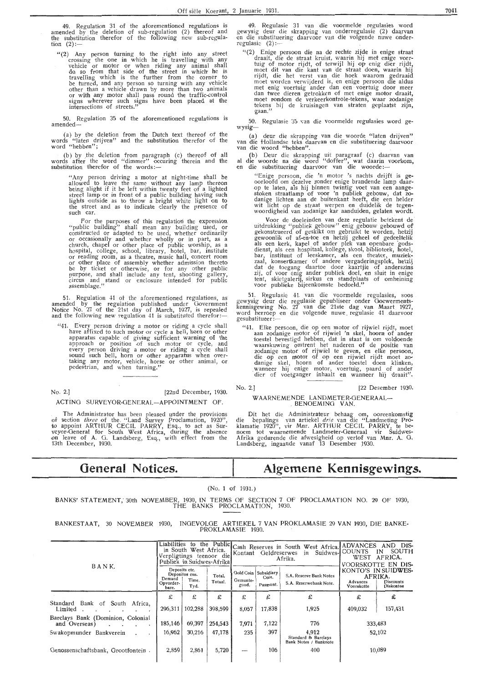49. Regulation 31 of the aforementioned regulations is amended by the deletion of sub-regulation (2) thereof and the substitution therefor of the following new sub-regulation  $(2)$ :-

 $''(2)$  Any person turning to the right into any street crossing the one in which he is travelling with any vehicle or motor or when riding any animal shall do so from that side of the street in which he is travelling which is the further from the corner to be turned, and any person so turning with any vehicle other than a vehicle drawn by more than two animals or with any motor shall pass round the traffic-control signs wherever such signs have been placed at the intersections of streets."

50. Regulation 35 of the aforementioned regulations is amended-

(a) by the deletion from the Dutch text thereof of the words "laten drijven" and the substitution therefor of the word "hebben";

(b) by the deletion from paragraph (c) thereof of all words after the word "dimmer" occuring therein and the substitution therefor of the words:—

"Any person driving a motor at night~time shall be allowed to leave the same without any lamp thereon<br>being alight if it be left within twenty feet of a lighted street lamp or in front of a public building having such lights ,outside as to throw a bright white light on to the street and as to indicate clearly the presence of such car.

For the purposes of this regulation the expression "public building" shall mean any building used, or constructed or adapted to be used, whether ordinarily or occasionally and whether wholly or in part, as a church, chapel or other place of public worship, as a hospital, college, school, library, hotel, bar, institute or reading room, as a theatre, music hall, concert room or other place of assembly whether admission thereto be by ticket or otherwise, or for any other public purpose, and shall include any tent, shooting gallery, circus and stand or enclosure intended for public<br>assemblage.''

51. Regulation 41 of the aforementioned regulations, as amended by the regulation published under Government Notice No. 27 of the 21st day of March, 1927, is repealed<br>and the following new regulation 41 is substituted therefor:—

Every person driving a motor or riding a cycle shall have affixed fo such motor or cycle a bell, horn or other .apparatus capable of giving sufficient warning of the approach or position of such motor or cycle, and every person driving a motor or riding a cycle shall sound such bell, horn or other apparatus when over-<br>taking any motor, vehicle, horse or other animal, or pedestrian, and when turning."

No. 2.] [22nd December, 1930. ACTING SURVEYOR-GENERAL-APPOINTMENT OF.

The Administrator has been pleased under the provisions of section *three* of the . "Land Survey Proclamation, 1920", to appoint ARTHUR CECIL PARRY, Esq., to act as Surveyor-General for South West Africa, during the absence on leave of A. G. Landsberg, Esq., with effect from the 13th December, 1930.

# **General Notices.**

49. Regulasie 31 van die voormelde regulasies word gewysig deur die skrapping van onderregulasie (2) daarvan<br>en die substituering daarvoor van die volgende nuwe onderregulasie (2) :-

"(2) Enige persoon die na de rechte zijde in enige straat draait, die de straat kruist, waarin hij met enige voer-<br>tuig of motor rijdt, of terwijl hij op enig dier rijdt, moet dit van die kant van de straat doen, waarin hij rijdt, die het verst van die hoek waarom gedraaid moet worden ¥erwijderd is, en enige persoon die aldus met enig voertuig ander dan een voertuig door meer<br>dan twee dieren getrokken of met enige motor draait, moet rondom de verkeerkontrole-tekens, waar zodanige tekens bij de kruisingen van straten geplaatst zijn, gaan."

50. Regulasie 35 van die voormelde regulasies word gewysig-

(a) deur die skrapping van die woorde "laten drijven" van die Hollandse teks daarvan en die substituering daarvoor van die woord "hebben".

(b) Deur die skrapping uit paragraaf (c) daarvan van al die woorde na die word "doffer", wat daarin voorkom, en die substituering daarvoor van die woorde :--<br>"Enige persoon, die 'n motor 's nachts drijft is ge-

"Enige persoon, die 'n motor 's nachts drijft is ge-<br>oorloofd om dezelve zonder enige brandende lamp daar-<br>op te laten, als hij binnen twintig voet van een aangestoken straatlamp of voor 'n publiek gebouw, dat zo- danige lichten aan de buitenkant heeft, die een helder wit licht op de straat werpen en duidelik de tegenwoordigheid van zodanige kar aanduiden, gelaten wordt.

Voor de doeleinden van deze regulatie betekent de uitdrukking "publiek gebouw" enig gebouw gebouwd of gekonstrueerd of geskikt om gebruikt te worden, hetzij<br>gewoonlik of af-en-toe en hetzij geheel of gedeeltelik als een kerk, kapel of ander plek van openbare godsdienst, als een hospitaal, kollege, skool, biblioteek, hotel, bar, instituut of leeskamer, als een theater, muziekzaal, konsertkamer of andere vergaderingsplek, hetzij<br>dat de toegang daartoe door kaartjie of anderszins zij, of voor enig ander publiek doel, en sluit in enige<br>tent, skietgalerij, sirkus en standplaats of omheining<br>voor publieke bijeenkomste bedoeld.''

51. Regulasie 41. van die v•oormelde regulasies, soos gewysig deur die regulasie gepubliseer onder Goewermentskennisgewing No. 27 van die 21ste dag van Maart 1927,<br>word herroep en die volgende nuwe regulasie 41 daarvoor<br>gesubstitueer :---

"41. Elke persoon, die op een motor of rijwiel rijdt, moet aan zodanige motor of rijwiel 'n skel, hoorn of ander toestel bevestigd hebben, dat in staat is om voldoende waarskuwing omtrent het naderen of de positie van<br>20danige motor of rijwiel te geven, en elke persoon, die op een motor of op een rijwiel rijdt moet zo-<br>danige skel, hoorn of ander toestel doen klinken,<br>wanneer hij enige motor, voertuig, paard of ander dier of voetganger inhaalt en wanneer hij draait".

# No. 2.] (22 Desember 1930. WAARNEMENDE LANDMETER-GENERAAL- . BENOEMJNG VAN.

Dit het die Administrateur behaag om, ooreenkomstig die bepalings van artiekel *drie* van die "Landmeting Proklamatie 1920", vir Mnr. ARTHUR CECIL PARRY, te benoem tot waarnemende Landmeter-Oeneraal vir Suidwes-Afrika gedurende die afwesigheid op verlof van Mnr. A. 0. Landsberg, ingaande vanaf 13 Desember 1930.

# **Algemene Kennisgewings.**

(No. **1** of 1931.)

BANKS' STATEMENT; 30th NOVEMBER, 1930, **IN** TERMS OF SECTION 7 OF PROCLAMATION NO. 29 OF 1930, THE BANKS PROCLAMATION, 1930.

BANKESTAAT, 30 NOVEMBER 1930, INOEVOLOE ARTIEKEL 7 VAN PROKLAMASIE 29 VAN 1930, DIE BANKE-PROKL.AMASIE 1930.

| BANK.                                                         | Liabilities<br>in South West Africa.<br>Verpligtings teenoor die<br>Publiek in Suidwes-Afrikal |                                 |                   |                   | Kontant Geldreserwes                      | to the Public Cash Reserves in South West Africa. ADVANCES<br>in Suidwes-<br>Afrika. | DIS-<br>AND<br>SOUTH<br><b>COUNTS</b><br>IN<br>WEST<br>AFRICA.<br>VOORSKOTTE EN DIS- |                                                                 |  |
|---------------------------------------------------------------|------------------------------------------------------------------------------------------------|---------------------------------|-------------------|-------------------|-------------------------------------------|--------------------------------------------------------------------------------------|--------------------------------------------------------------------------------------|-----------------------------------------------------------------|--|
|                                                               | Deposits etc.<br>Demand<br>Opvorder-<br>bare.                                                  | Depositos ens.<br>Time.<br>Tyd. | Total.<br>Totaal. | Gemunte-<br>goud, | Gold Coin Subsidiary<br>Coin.<br>Pasmunt. | S.A. Reserve Bank Notes<br>S.A. Reserwebank Note.                                    | Advances<br>Voorskotte                                                               | KONTO'S IN SUIDWES-<br>AFRIKA.<br>Discounts<br><b>Diskontos</b> |  |
|                                                               | £                                                                                              | £                               | £                 | £                 | £                                         | £                                                                                    | £                                                                                    | £                                                               |  |
| Bank of South Africa,<br>Standard<br>Limited                  | 296,311                                                                                        | 102,288                         | 398,599           | 8,057             | 17,838                                    | 1,925                                                                                | 409,032                                                                              | 157,431                                                         |  |
| Barclays Bank (Dominion, Colonial<br>and Overseas)<br>$\cdot$ | 185,146                                                                                        | 69,397                          | 254,543           | 7,971             | 7,122                                     | 776                                                                                  |                                                                                      | 333,483                                                         |  |
| Swakopmunder Bankverein                                       | 16,962                                                                                         | 30,216                          | 47,178            | 235               | 397                                       | 4,912<br>Standard & Barclays<br>Bank Notes / Banknote                                |                                                                                      | 52,102                                                          |  |
| Genossenschaftsbank, Grootfontein.                            | 2,859                                                                                          | 2,861                           | 5,720             |                   | 106                                       | 400                                                                                  |                                                                                      | 10,089                                                          |  |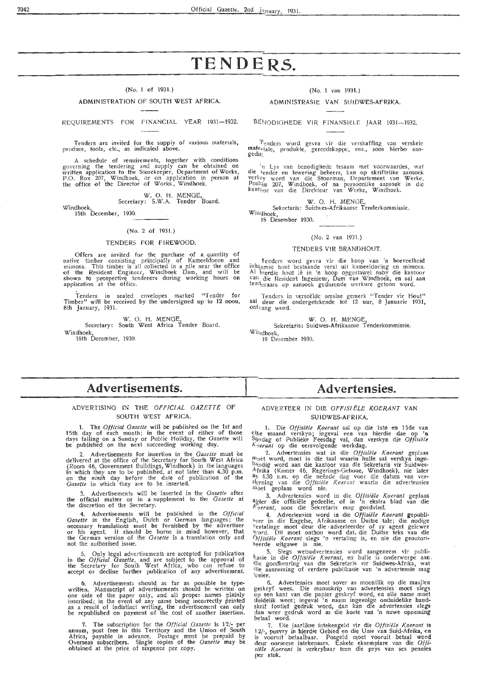# **TENDERS.**

# $(N_0, 1$  of 1931.)

# ADMINISTRATION OF SOUTH WEST AFRICA.

REQUIREMENTS FOR FINANCIAL YEAR 1931-1932.

Tenders are invited for the supply of various materials, produce, tools, etc., as indicated above.

A schedule of requirements, together with conditions governing the tendering and supply can be obtained on written application to the Storekeeper, Department of Works, P.O. Box 207, Windhoek, or on application in person at the office of the Director of Works, Windhoek.

W. O. H. MENGE,

Secretary: S.W.A. Tender Board.

Windhoek, 15th December, 1930.

## (No. 2 of 1931.)

#### TENDERS FOR FIREWOOD.

Offers are invited for the purchase of a quantity of native timber consisting principally of Kameeldoorn and mimosa. This timber is all oollected in a pile near the office of the Resident Engineer, Windhoek Dam, and will be shown to prospective tenderers during working hours on application at the office.

Tenders in sealed envelopes marked "Tender for Timper" will be received by the undersigned up· to 12 noon, 8th January, 1931.

W. 0. H. MENGE, Secretary: South West Africa Tender Board. Windhoek 18th December, 1930.

(No. 1 van 1931.)

## ADMINISTRASIE VAN SUIOWES-AFRIKA.

BENODIGHEDE VIR FINANSIELE JAAR 1931-1932.

"fenders word gevra vir die verskaffing van verskeie mate<sub>riale</sub>, produkte, gercedskappe, ens., soos hierbo aan-<br>.gedu<sub>1.</sub>

. 'ti Lys van bcnodighedc tesaam met voorwaardes, wat die tender en lewering beheers, kan op skriftelike aansoek<br>verkey word van die Stoorman, Departement van Werke, Posbiis 207, Windhoek, of na persooniike aansoek in die kant<sub>901</sub> van die Dirckteur van Werke, Windhoek.

W. 0. H. MENGE,

Sekretaris: Suidwes-Afrikaanse Tenderkommissic.<br>Win@hoek, Winghoek,<br>15 Desember 1930.

## (No. 2 van 1931.)

## TENDERS VIR BRANDHOUT.

. Tenders word gevra vir die koop van 'n hoeveelheid inhcemse hout bestaande veral uit kameeldoring en mimosa.<br>Al hierdie hout lê in 'n hoop opgestawel naby die kantoor van die Resident Ingenieur, Dam van Windhoek, en sal aan ten::<br>ten:ieraars op aansock gedurende werkure gctoon word.

· Tenders in verseëlde omslae gemerk "Tender vir Hout" sal deur die ondergetekende tot 12 uur, 8 Januarie 1931, ontvang word.

W. O. H. MENGE,

Sekretaris: Suidwes-Afrikaansc Tenderkommissie. Wilidhoek,

18 Desember 1930.

# **Advertisements.**

# ADVERTISING IN THE *OFFICIAL GAZETTE* OF SOUTH WEST AFRICA.

1. The *Ofticial Gazette* will be published on the 1st and 15th day of each month; in the event of either of those days falling on a Sunday or Public Holiday, the *Gazette* will be published on the next succeeding working day.

2. Advertisements for insertion in the *Gazette* must be delivered at the office of the Secretary for South West Africa (Room 46, Government Buildings, Windhoek) in the languages<br>in which they are to be published, at not later than 4.30 p.m.<br>on the *ninth* day before the date of publication of the<br>Gazette in which they are to be inserted.

3. Advertisements will be inserted in the *Gazette* after the official matter or in a supplement to the *Gazette* at the discretion of the Secretary.

4. Advertisements will be published in the *Official Oa2ette* in the English, Dutch or German languages; the necessary translations must be furnished by the advertiser or his agent. It should be borne in mind however, that the German version of the *Gazette* is a translation only and not the authorised issue.

5. Only legal advertisements are accepted for publication in the *Official Gazette,* and are subject to the approval of the Secretary for South West Africa, who can refuse to accept or decline further publication of any advertisement.

6. Advertisements should as far as possible be type- written. Manuscript of advertisements should be written on one side of the paper only., and all proper names plainly hiscribed; in the event of any name being incorrectly printed as a result of indistinct writing , the advertisement can only be republished on payment of the cost of another insertion.

7. The subscription for the *Official Gazette* is 12/- per annum, post free in this Territory and the Union of South Africa, payable in advance. Postage must be prepaid by Overseas subscribers. Single copies of the *Gazette* may be obtained at the price of sixpence per copy.

# **Advertensies.**

# ADVERTEER IN DIE OFFISI ELE KOERANT VAN SUIDWES-AFRIKA.

1. Die *Offisiële Koerant* sal op die 1ste en 15de van elke maand verskyn; ingeval een van hierdie dae op 'n Syndag of Publieke Feesdag val, dan verskyn die *Offisiële K.!ierant* op die eersvolgende werkdag.

2. Advertensies wat in die *Offisiële Koerant* geplaas <sup>111</sup>vet word, moet in die taal waarin hulle sal verskyn ingehändig word aan die kantoor van die Sekretaris vir Suidwes- · Afrika (Kamer 46, Regerings-Geboue, Windhoek), nie later a=<br>45 4.30 n.m. op die neënde dag voor die datum van ver• slayning van die Offisiële Koerant waarin die advertensies 10oet geplaas word nie.

3. Advertensies word in die Offisiële Koerant geplaas agter die offisiële gedeelte, of in 'n ekstra blad van die *K.oerant,* soos die Sekretaris mag goedvind.

4. Advertensies word in die Offisiële Koerant gepubli-<br>\*ver in die Engelse, Afrikaanse en Duitse tale; die nodige \'ertalinge moet deur die •adverteerder of sy agent gelewer 'ford. Dit moet onthou word dat. die Duitse teks van die *()tfisiele Koerant* slegs 'n vertaling is, en nie die geoutori- ~eerde uitgawe is nie.

5. Slegs wetsadvertensies word aangeneem vir publi-<br>kasie in die *Offisiële Koerant*, en hulle is onderworpe aan ,<br>tlie goedkeuring van die Sekretaris vir Suidwes-Afrika, wat ilie aanneming of verdere publikasie van 'n advertensie mag \veier.

6. Advertensies meet sover as moontlik op die masjien geskryf wees. Die manuskrip van advertensies meet slegs ilp een kant van die papier geskryf word, en alle name moet tluidelik wees; ingeval 'n naam ingevolge onduidelike handskrif foutief gedruk word, dan kan die ad vertensies. slegs dan weer gedrulc' word as· die koste van 'n nuwe opneming betaal word.

7. Die jaarlikse intekengeld vir die Offisiële Koerant is 1.2/-, posvry in hierdie Gebied en die Unie van Suid-Afrika, en is vooruit betaalbaar. Posge1d rnoet vooruit betaal word deur oorseese intekenaars. Enkele eksemplare van die *Of fi• siele Koerant* is verkrybaa\_r teen die prys van ses pennies per stuk.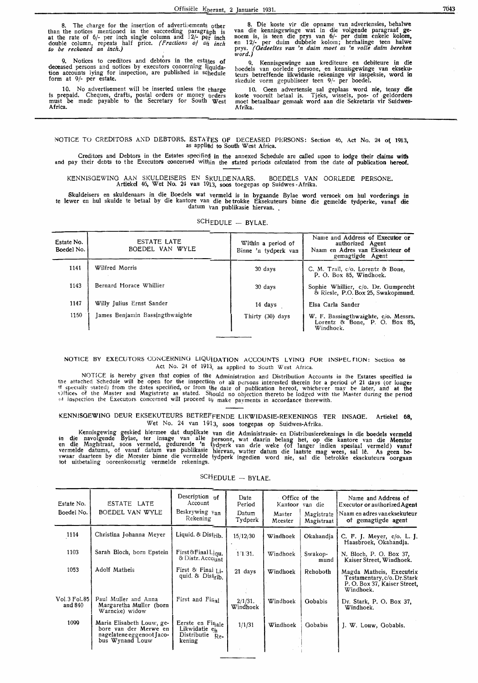8. The charge for the insertion of advertiments other than the notices mentioned in the succeeding paragraph is at the rate of  $6/-$  per inch single column and  $12/-$  per inch double column, repeats half price. *( Fractions of a/i inch to be reckoned an inch.)* 

9. Notices to creditors and debtors in the estates of deceased persons and notices by executors concerning liquidation accounts lying for inspection, are published in schedule<br>form at 9/- per estate.

10. No advertisement will be inserted unless the tharge is prepaid. Cheques, drafts, postal orders or money orders must be made payable to the Secretary for South West Africa.

8. Die koste vir die opname van advertensies, behalwe van die kennisgewinge wat in die volgende paragraaf **ge**noem is, is teen die prys van 6/- per duim enkele kolom, en 12/- per duim dubbele kolom; herhalinge teen halwe prys. *(Oedeeltes van 'n duim moet as 'n volte duim bereken word.)* 

9. Kennisgewinge aan krediteure en debiteure in **die**  boedels van oorlede persone, en kennisgewinge van ekseku-teurs betreffende likwidasic rekeninge vir inspeksie, word in skedule vorm gepubliseer teen 9/- per boedel.

10. Geen advertensie sal geplaas word nie, tensy die koste vooruit betaal is. Tjeks, wissels, pos- of geldorders moet betaalbaar gemaak word aan die Sekretaris vir Suidwes-Afrika.

NOTICE TO CREDITORS AND DEBTORS. ESTA'fES OF DECEASED PERSONS: Section 46, Act No. 24 ot 1913, as appli@d to South West Africa.

Creditors and Debtors in the Estates specified in the annexed Schedule are called upon to lodge their claims with and pay their debts to the Executors concerned within the stated periods calculated from the date of publication hereof.

KENNISGEWING AAN SKULDEISERS EN SKULDENAARS. BOEDELS VAN OORLEDE PERSONE. Artiekel 46, Wet No. 24 van 1913, soos toegepas op Suidwes -Afrika.

Skuldeisers en skuldenaars in die Boedels wat vermeld is in bygaande Bylae word versoek om hul vorderings in te lewer en hul skulde te betaal by die kantore van die be trokke Eksekuteurs binne die gemelde tydperke, vanaf die datum Van publikasie hiervan ..

| Estate No.<br>Boedel No. | <b>ESTATE LATE</b><br>BOEDEL VAN WYLE | Within a period of<br>Binne 'n tydperk van | Name and Address of Executor or<br>authorized Agent<br>Naam en Adres van Eksekuteur of<br>gemagtigde Agent |
|--------------------------|---------------------------------------|--------------------------------------------|------------------------------------------------------------------------------------------------------------|
| 1141                     | Wilfred Morris                        | 30 days                                    | C. M. Trail, c/o. Lorentz & Bone,<br>P. O. Box 85, Windhoek.                                               |
| 1143                     | Bernard Horace Whillier               | 30 days                                    | Sophie Whillier, c/o. Dr. Gumprecht<br>& Riesle, P.O. Box 25, Swakopmund,                                  |
| 1147                     | Willy Julius Ernst Sander             | 14 days                                    | Elsa Carla Sander                                                                                          |
| 1150                     | James Benjamin Bassingthwaighte       | Thirty (30) days                           | W. F. Bassingthwaighte, c/o. Messrs.<br>Lorentz & Bone, P. O. Box 85,<br>Windhoek.                         |

SCHEDULE - BYLAE.

# NOTICE BY EXECUTORS CONCERNING LIQUIDATION ACCOUNTS LYING FOR INSPECTION: Section 68 Act No. 24 of 1913, as applied to South West Africa.

NOTICE is hereby given that copies of the Administration and Distribution Accounts in the Estates specified la the affached Schedule will be open for the inspection of all persons interested therein for a period of 21 days (or longer<br>if specially stated) from the dates specified, or from the date of publication hereof, whichever ma  $\Omega$ ffices of the Master and Magistrate as stated. Should no objection thereto be lodged with the Master during the period of inspection the Executors concerned will proceed tg make paviments in accordance therewith.

KENN!SOEWINO DEUR EKSEKUTEURS BETREFFENDE LIKWIDASIE-REKENINOS TER INSAGE. Artiekel **68,**  Wet No. 24 van 1913, soos toegepas op Suidwes-Afrika.

Kennisgewing geskied hiermee dat duplikate van die Administrasie- en Distribusierekenings in die boedels vermeld in die navolgende Bylae, ter insage van alle persone, wat daarin belang het, op die kantore van die Meester en die Magistraat, soos vermeld, gedurende 'n tydperk van drie weke (of langer indien spesiaal vermeld) vanaf vermelde datums, of vanaf datum van publikasie hiervan, watter datum die laatste mag wees, sal lê. As geen be-<br>swaar daarteen by die Meester binne die vermelde tydperk ingedien word nie, sal die betrokke eksekuteurs oorgaa

# $SCHEDULE - BYLAE.$

| Estate No.<br>Boedel No.    | ESTATE LATE<br>BOEDEL VAN WYLE                                                                     | Description of<br>Account<br>Beskrywing van<br>Rekening             | Date<br>Period<br>Datum<br>Tydperk | ∙ Office of the<br>Master<br>Meester | Kantoor van die<br>Magistrate<br>Magistraat | Name and Address of<br>Executor or authorized Agent<br>Naam en adres van eksekuteur<br>of gemagtigde agent |
|-----------------------------|----------------------------------------------------------------------------------------------------|---------------------------------------------------------------------|------------------------------------|--------------------------------------|---------------------------------------------|------------------------------------------------------------------------------------------------------------|
| 1114                        | Christina Johanna Meyer                                                                            | Liquid. & Distrib.                                                  | 15/12/30                           | Windhoek                             | Okahandia                                   | C. F. J. Meyer, c/o. L. J.<br>Haasbroek, Okahandja.                                                        |
| 1103                        | Sarah Bloch, born Epstein                                                                          | First & Final Liqu.<br>& Distr. Account                             | 1/1/31.                            | Windhoek                             | Swakop-<br>mund                             | N. Bloch, P. O. Box 37,<br>Kaiser Street, Windhoek.                                                        |
| 1053                        | Adolf Matheis                                                                                      | First $\&$ Final $Li$ .<br>quid. & Distrib.                         | 21 days                            | Windhoek                             | Rehoboth                                    | Magda Matheis, Executrix<br>Testamentary, c/o. Dr. Stark<br>P. O. Box 37, Kaiser Street,<br>Windhoek.      |
| Vol. 3 Fol. 85 I<br>and 840 | Paul Muller and Anna<br>Margaretha Muller (born<br>Warncke) widow                                  | First and Final                                                     | $2/1/31$ .<br>Windhoek             | Windhoek                             | Gobabis                                     | Dr. Stark, P. O. Box 37.<br>Windhoek.                                                                      |
| 1099                        | Maria Elisabeth Louw, ge-<br>bore van der Merwe en<br>nagelatene eggenoot Jaco-<br>bus Wynand Louw | Eerste en Finale<br>Likwidatie en<br>Distributie<br>$Re-$<br>kening | 1/1/31                             | Windhoek                             | Gobabis                                     | J. W. Louw, Gobabis.                                                                                       |
|                             |                                                                                                    |                                                                     |                                    |                                      |                                             |                                                                                                            |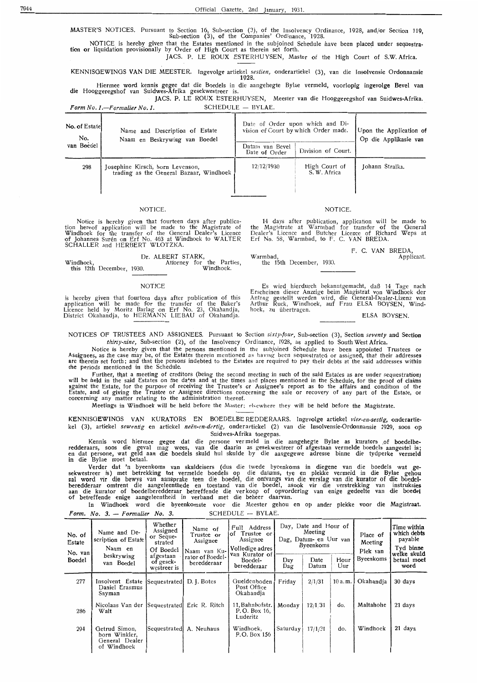MASTER'S NOTICES. Pursuant to Section 16, Sub-section (3), of the Insolvency Ordinance, 1928, and/or Section 119, Sub-section (3), of the Companies' Ordinance, 1928.

NOTICE is hereby given that the Estates mentioned in the subjoined Schedule have been placed under sequestra-<br>tion or liquidation provisionally by Order of High Court as therein set forth.

JACS. P. LE ROUX ESTERHUYSEN, Master of the High Court of S.W. Africa.

KENNISOEWINGS VAN DIE MEESTER. Ingevolge artiekel *sestien,* onderartiekel (3), van die Inoolvensie Ordonnansie 1928.

Hiermee word kennis gegee dat die Boedels in die aangehegte Bylae vermeld, voorlopig ingevolge Bevel van die Hooggeregshof van Suidwes-Afrika gesekwestreer is.

JACS. P. LE ROUX ESTERHUYSEN, Meester van die Hooggeregshof van Suidwes-Afrika . . **Form No. 1.**-Formulier No. 1. SCHEDULE - BYLAE.

| No. of Estate<br>No. | Name and Description of Estate<br>Naam en Beskrywing van Boedel             | Date of Order upon which and Di-<br>vision of Court by which Order made. | Upon the Application of<br>Op die Applikasie van |                 |
|----------------------|-----------------------------------------------------------------------------|--------------------------------------------------------------------------|--------------------------------------------------|-----------------|
| van Boedel           |                                                                             | Datum van Bevel<br>Date of Order                                         | Division of Court.                               |                 |
| 298                  | Josephine Kirsch, born Levenson,<br>trading as the General Bazaar, Windhoek | 12/12/1930                                                               | High Court of<br>S. W. Africa                    | Johann Stralka. |

# NOTICE. NOTICE.

Notice is hereby given that fourteen days after publication hereof application will be made to the Magistrate of Windhoek for the transfer of the General Dealer's Licence of Johannes Suren on Erf No. 463 at Windhoek to WALTER SCHALLER and HERBERT WLOTZKA.

|           |                           | Dr. ALBERT STARK, |  |                           |
|-----------|---------------------------|-------------------|--|---------------------------|
| Windhoek. |                           |                   |  | Attorney for the Parties, |
|           | this 12th December, 1930. |                   |  | Windhoek.                 |

#### **NOTICE**

is hereby given that fourteen days after publication of this application will be made for the transfer of the Baker's Licence held by Moritz Barlag on Erf No. 23, Okahandja, District Okahandja, to HERMANN LIEBAU of Okahandja.

14 days after publication, application will be made to the Magistrate at W armbad for transfer of the General Dealer's Licence and Butcher Licence of Richard Weps at Erf No. 58, Warmbad, to F. C. VAN BREDA.

Warmbad, the 15th December, 1930. F. C. VAN BREDA, Applicant.

Es wird hierdurch bekanntgemacht, daB 14 Tage nach Erscheinen dieser Anzeige beim Magistrat von Windhoek der Antrag gestellt werden wird, die General-Dealer-Lizenz von<br>Arthur Ruck, Windhoek, auf Frau ELSA BOYSEN, Windhoek, zu übertragen.<br>ELSA BOYSEN.

NOTICES OF TRUSTEES AND ASSIGNEES. Pursuant to Section *sixty-four,* Sub-section (3), Section *seventy* and Section *thirty-nine,* Sub-section (2), of the Insolvency Ordinance, 1928, as applied to South West Africa.

Notice is hereby given that the persons mentioned in the subjoined Schedule have been appointed Trustees or<br>Assignees, as the case may be, of the Estates therein mentioned as having been sequestrated or assigned, that thei che periods mentioned in the Schedule.

Further, that a meeting of creditors (being the second meeting in such of the said Estates as are under sequestration) will be held in the said Estates on the da\*es and at the times and places mentioned in the Schedule, for the proof of claims against the Estate, for the purpose of receiving the Trustee's or Assignee's report as to the affairs and condition of the Estate, and of giving the Trustee or Assignee directions concerning the sale or recovery of any part of the Estate, or<br>concerning any matter relating to the administration thereof.

Meetings in Windhoek will be held before the Master; elsewhere they will be held before the Magistrate.

**KENNISGEWINOS VAN** KVRATORS EN BOEDELBE REDDERAARS. Ingevolge artiekel *vier-en-sestig,* onderartiekel (3), artiekel sewentig en artiekel neën-en-dertig, onderartiekel (2) van die Insolvensie-Ordonnansie 1929, soos op Suidwes-Afrika toegepas.

Kennis word hiermee gegee dat redderaars, soos die geval mag wees,<br>en dat persone, wat geld aan die boedels in die Bylae meet betaal. die persone ver meld in die aangehegte Bylae as kurators .of boedelbe- van die daarin as gesekwestreer of afgestaan vermelde boedels aangestel is; skuld hul skulde by die aangegewe adresse binne die tydperke vermeld

Verder dat 'n byeenkoms van skuldeisers (dus die twede byeenkoms in diegene van die boedels wat gesekwestreer is) met betrekking tot vermelde boedels op die datums, tye en plekke vermeld in die Bylae gehou sal word vir die bewys van aansprake teen die boedel, die ontvangs van die verslag van die kurator of die boedelberedderaar omtrent die aangeleenthede en toestand van die boedel, asook vir die verstrekking van instruksies<br>aan die kurator of boedelberedderaar betreffende die verkoop of opvordering van enige gedeelte van die boedel of betreffende enige aangeleentheid in verband met die beheer daarvan.

In Windhoek word die byeenkomste voor die Meester gehou en op antler plekke voor die Magistraat. *Form. No. 3. - Formulier No. 3.* SCHEDULE - BYLAE.

| No. of<br>Estate<br>No. van<br>Boedel | Name and De-<br>scription of Estate<br>Naam en<br>beskrywing    | Whether<br>Assigned<br>or Seque-<br>strated<br>Of Boedel<br>afgestaan<br>of gesek- | Name of<br>Trustee or<br>Assignee<br>Naam van Ku-<br>rator of Boedel- | Full Address<br>of Trustee or<br>Assignee<br>Volledige adres<br>van Kurator of<br>Boedel- | Day      | Day, Date and Hour of<br>Meeting<br>Dag, Datum- en Uur van<br><b>Byeenkoms</b><br>Date | Hour   | Place of<br>Meeting<br>Plek van<br><b>Byeenkoms</b> | Time within<br>which debts<br>payable<br>Tyd binne<br>welke skuld<br>betaal moet |
|---------------------------------------|-----------------------------------------------------------------|------------------------------------------------------------------------------------|-----------------------------------------------------------------------|-------------------------------------------------------------------------------------------|----------|----------------------------------------------------------------------------------------|--------|-----------------------------------------------------|----------------------------------------------------------------------------------|
|                                       | van Boedel                                                      | westreer is                                                                        | beredderaar                                                           | beredderaar                                                                               | Dag      | Datum                                                                                  | Uur    |                                                     | word                                                                             |
| 277                                   | Insolvent Estate Sequestrated<br>Daniel Erasmus<br>Snyman       |                                                                                    | D. J. Botes                                                           | Gueldenboden<br>Post Office<br>Okahandja                                                  | Friday   | 2/1/31                                                                                 | 10a.m. | Okahandia                                           | 30 days                                                                          |
| 286                                   | Nicolaas Van der [Sequestrated] Eric R. Ritch<br>Walt           |                                                                                    |                                                                       | 11, Bahnhofstr.<br>P.O. Box 16.<br>Luderitz                                               | Monday   | 12/1/31                                                                                | do.    | Maltahohe                                           | 21 days                                                                          |
| 294                                   | Getrud Simon,<br>born Winkler.<br>General Dealer<br>of Windhoek | Sequestrated                                                                       | A. Neuhaus                                                            | Windhoek,<br>P.O. Box 156                                                                 | Saturday | 17/1/31                                                                                | do.    | Windhoek                                            | 21 days                                                                          |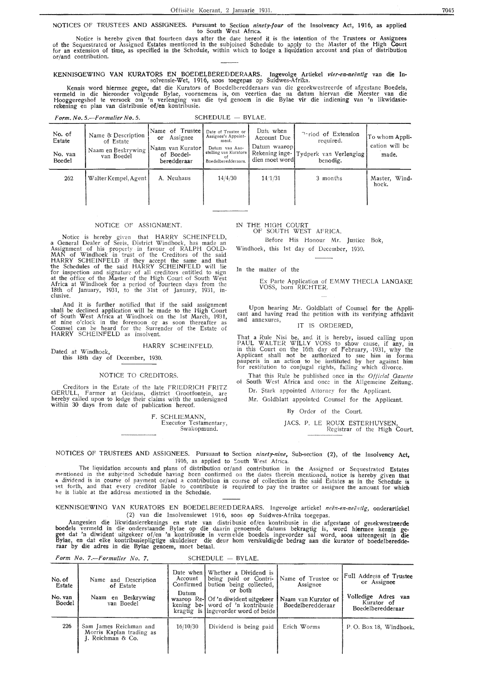#### NOTICES OF TRUSTEES AND ASSIGNEES. Pursuant to Section *ninety-four* of the Insolvency Act, 1916, as applied to South West Africa.

Notice is hereby given that fourteen days after the date hereof it is the intention of the Trustees or Assignees<br>of the Sequestrated or Assigned Estates mentioned in the subjoined Schedule to apply to the Master of the Hig for an extension of time, as specified in the Schedule, within which to lodge a liquidation account and plan of distribution or /and contribution.

KENNISGEWING VAN KURATORS EN BOEDELBEREDDERAARS. Ingevolge Artiekel *vier-en-neëntig* van die Insolvensie-Wet, 1916, soos toegepas op Suidwes-Afrika.

Kennis word hiermee gegee, dat die Kurators of Boedelberedderaars van die gesekwestreerde of afgestane Boedels, vermeld in die hieronder volgende Bylae, voornemens is, om veertien dae na datum hiervan die Meester van die Hooggeregshof te versoek om 'n verlenging van die tyd genoem in die Bylae vir die indiening van 'n likwidasierekening en plan van distribusie of/en kontribusie.

*Form. No. 5.-Formulier No. 5.* SCHEDULE - BYLAE.

| No. of<br>Estate<br>No. van<br>Boedel | Name & Description<br>of Estate<br>Naam en Beskrywing<br>van Boedel | Name of Trustee  <br>Assignee<br>or<br>  Naam yan Kurator  <br>of Boedel-<br>beredderaar | Date of Trustee or<br>Assignee's Appoint-<br>ment.<br>Datum van Aan-<br>stelling van Kurators<br>Boedelberedderaars. | Date when<br>Account Due<br>Datum waaropl<br>Rekening inge-<br>dien moet wordl | Period of Extension<br>required.<br>Tydperk van Verlenging<br>benodig. | To whom Appli-<br>cation will be<br>made. |
|---------------------------------------|---------------------------------------------------------------------|------------------------------------------------------------------------------------------|----------------------------------------------------------------------------------------------------------------------|--------------------------------------------------------------------------------|------------------------------------------------------------------------|-------------------------------------------|
| 262                                   | Walter Kempel, Agent                                                | A. Neuhaus                                                                               | 14/4/30                                                                                                              | 14/1/31                                                                        | 3 months                                                               | Master, Wind-<br>hoek.                    |

# NOTICE OF ASSIGNMENT.

Notice is hereby given that HARRY SCHEINFELD, a General Dealer of Seeis, District Windhoek, has made an Assignment of his property in favour of RALPH GOLD-MAN of Windhoek in trust of the Creditors of the said HARRY SCHEINFELD if they accept the same and that the Schedules of the said HARRY SCHEINFELD will lie for inspection and signature of all creditors entitled to sign at the office of the Master of the High Court of South West Africa at Windhoek for a period of fourteen days from the<br>18th of January, 1931, to the 31st of January, 1931, inclusive.

And it is further notified that if the said assignment shall be declined application will be made to the High Court of South West Africa at Windhoek on the 1st March, 1931, at nine o'clock in the forenoon or as soon thereafter as Counsel can be heard for the Surrender of the Estate of HARRY SCHEINFELD as insolvent.

## HARRY SCHEINFELD.

Dated at Windhoek, this 18th day of December, 1930.

## NOTICE TO CREDITORS.

Creditors in the Estate of the late FRIEDRICH FRITZ OERULL, Farmer at Geidaus, district Grootfontein, are hereby called upon to lodge their claims with the undersigned within 30 days from date of publication hereof.

> F. SCHLIEMANN, Executor Testamentary, Swakopmund.

JN THE HIGH COURT

Before His Honour Mr. Justice Bok,

In the matter of the

# Ex Parte Application of EMMY THECLA LANGAKE VOSS, born RICHTER.

Upon hearing Mr. Goldblatt of Counsel for the Applicant and having read the petition with its verifying affidavit and annexures, IT IS ORDERED,

That a Rule Nisi be, and it is hereby, issued calling upon PAUL WALTER WILLY VOSS to show cause, if any, in in this Court on the 16th day of February, -1931, why the Applicant shall not be authorized to sue him in forma<br>pauperis in an action to be instituted by her against him<br>for restitution to conjugal rights, failing which divorce.

That this Rule be published once in the *Official Gazette*  of South West Africa and once in the Allgemeine Zeitung. Dr. Stark appointed Attorney for the Applicant.

Mr. Goldblatt appointed Counsel for the Applicant.

By Order of the Court.

JACS. P. LE ROUX ESTERHUYSEN,

Registrar of the High Court.

NOTICES OF TRUSTEES AND ASSIGNEES. Pursuant to Section *ninety-nine*, Sub-section (2), of the Insolvency Act, 1916, as applied to South West Africa.

The liquidation accounts and plans of distribution or/and contribution in the Assigned or Sequestrated Estates mentioned in the subjcined Schedule having been confirmed on the dates therein mentioned, notice is hereby given that a dividend is in course of payment or/and a contribution in course of collection in the said Estates as in the Schedule is<br>set forth, and that every creditor liable to contribute is required to pay the trustee or assignee he is liable at the address mentioned in the Schedule.

KENNISGEWING VAN KURATORS EN BOEDELBEREDDERAARS. Ingevolge artiekel neën-en-neëntig, onderartiekel (2) van die Insolvensiewet 1916, soos op Suidwes-Afrika toegepas.

Aangesien die likwidasierekenings en state van distribusie of/en kontribusie in die afgestane of gesekwestreerde hoedels vermeld in die onderstaande Bylae op die daarin genoemde datums bekragtig is, word **hiermee** kennis gegee dat 'n diwident· uitgekeer of/en 'n kontribusie in verm elde boedels ingevorder sal word, soos uiteengesit in die Bylae, en dat elke kontribusiepligtige skuldeiser die deur hom verskuldigde bedrag aan die kurator of boedelberedde-<br>raar by die adres in die Bylae genoem, moet betaal.

|                                       | Form No. 7.--Formulier No. 7.                                           |                                 | $SCHEDULE - BYLAE.$                                                                                                                                                                                                 |                                                                            |                                                                                                  |
|---------------------------------------|-------------------------------------------------------------------------|---------------------------------|---------------------------------------------------------------------------------------------------------------------------------------------------------------------------------------------------------------------|----------------------------------------------------------------------------|--------------------------------------------------------------------------------------------------|
| No. of<br>Estate<br>No. van<br>Boedel | Name and Description<br>of Estate<br>Naam en Beskrywing<br>van Boedel   | Account<br>Confirmed  <br>Datum | Date when Whether a Dividend is<br>being paid or Contri-<br>bution being collected.<br>or both<br>waarop Re-1 Of 'n diwident uitgekeer<br>kening be- word of 'n kontribusie<br>kragtig is lingevorder word of beide | Name of Trustee or<br>Assignee<br>Naam van Kurator of<br>Boedelberedderaar | Full Address of Trustee<br>or Assignee<br>Volledige Adres van<br>Kurator of<br>Boedelberedderaar |
| 226                                   | Sam James Reichman and<br>Morris Kaplan trading as<br>I. Reichman & Co. | 16/10/30                        | Dividend is being paid                                                                                                                                                                                              | Erich Worms                                                                | P.O. Box 18, Windhoek,                                                                           |

OF SOUTH WEST AFRICA.

Windhoek, this 1st day of December, 1930.